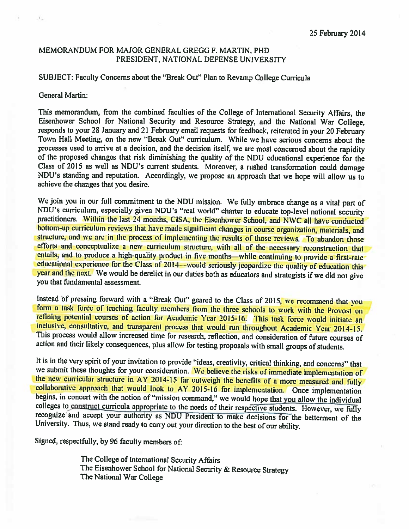# MEMORANDUM FOR MAJOR GENERAL GREGG F. MARTIN, PHD PRESIDENT, NATIONAL DEFENSE UNIVERSITY

### SUBJECT: Faculty Concerns about the "Break Out" Plan to Revamp College Curricula

#### General Martin:

This memorandum, from the combined faculties of the College of International Security Affairs, the Eisenhower School for National Security and Resource Strategy, and the National War College, responds to your <sup>28</sup> January and <sup>21</sup> February email requests for feedback, reiterated in your <sup>20</sup> February Town Hall Meeting. on the new "Break Out" curriculum. While we have serious concerns about the processes used to arrive at <sup>a</sup> decision, and the decision itself, we are most concerned about the rapidity of the proposed changes that risk diminishing the quality of the NDU educational experience for the Class of 2015 as well as NDU's current students. Moreover, a rushed transformation could damage NDU's standing and reputation. Accordingly, we propose an approach that we hope will allow us to achieve the changes that you desire.

We join you in our full commitment to the NDU mission. We fully embrace change as <sup>a</sup> vital part of NDU's curriculum, especially <sup>g</sup>iven NDU's "real world" charter to educate top-level national security practitioners. Within the last 24 months, CISA, the Eisenhower School, and NWC all have conducted bottom-up curriculum reviews that have made significant changes in course organization, materials, and structure, and we are in the process of implementing the results of those reviews. To abandon those efforts and conceptualize a new curriculum structure, with all of the necessary reconstruction that entails, and to produce <sup>a</sup> high-quality product in five months—while continuing to provide <sup>a</sup> first-rate educational experience for the Class of 2014—would seriously jeopardize the quality of education this year and the next. We would be derelict in our duties both as educators and strategists if we did not <sup>g</sup>ive you that fundamental assessment.

Instead of pressing forward with a "Break Out" geared to the Class of 2015, we recommend that you form <sup>a</sup> task force of teaching faculty members from the three schools to work with the Provost on refining potential courses of action for Academic Year 2015-16. This task force would initiate an inclusive, consultative, and transparent process that would run throughout Academic Year 2014-15. This process would allow increased time for research, reflection, and consideration of future courses of action and their likely consequences, plus allow for testing proposals with small groups of students.

It is in the very spirit of your invitation to provide "ideas, creativity, critical thinking, and concerns" that we submit these thoughts for your consideration. We believe the risks of immediate implementation of the new curricular structure in AY 2014-15 far outweigh the benefits of <sup>a</sup> more measured and fully collaborative approach that would look to AY 2015-16 for implementation. Once implementation begins, in concert with the notion of "mission command," we would hope that you allow the individual colleges to construct curricula appropriate to the needs of their respective students. However, we fully recognize and accept your authority as NDU President to make decisions for the betterment of the University. Thus, we stand ready to carry out your direction to the best of our ability.

Signed, respectfully, by <sup>96</sup> faculty members of

The College of International Security Affairs The Eisenhower School for National Security & Resource Strategy The National War College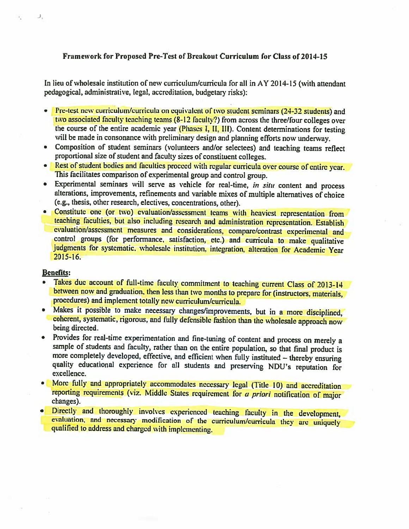# Framework for Proposed Pre-Test of Breakout Curriculum for Class of 2014-15

In lieu of wholesale institution of new curriculum/curricula for all in ÀY 2014-15 (with attendant pedagogical, administrative, legal, accreditation, budgetary risks):

- Pre-test new curriculum/curricula on equivalent of two student seminars (24-32 students) and two associated faculty teaching teams (8-12 faculty?) from across the three/four colleges over the course of the entire academic year (Phases I, II, III). Content determinations for testing will be made in consonance with preliminary design and <sup>p</sup>lanning efforts now underway.
- Composition of student seminars (volunteers and/or selectees) and teaching teams reflect proportional size of student and faculty sizes of constituent colleges.
- Rest of student bodies and faculties proceed with regular curricula over course of entire year. This facilitates comparison of experimental group and control group.
- • Experimental seminars will serve as vehicle for real-time, in situ content and process alterations, improvements, refinements and variable mixes of multiple alternatives of choice (e.g., thesis, other research, electives, concentrations, other).
- Constitute one (or two) evaluation/assessment teams with heaviest representation from teaching faculties, but also including research and administration representation. Establish evaluation/assessment measures and considerations, compare/contrast experimental and control groups (for performance, satisfaction, etc.) and curricula to make qualitative judgments for systematic. wholesale institution, integration, alteration for Academic Year 2015-16.

### Benefits:

 $J_\gamma$ 

- • Takes due account of full-time faculty commitment to teaching current Class of 2013-14 between now and graduation. then less than two months to prepare for (instructors, materials, procedures) and implement totally new curriculum/curricula.
- Makes it possible to make necessary changes/improvements, but in a more disciplined, coherent, systematic, rigorous, and fully defensible fashion than the wholesale approach now being directed.
- • Provides for real-time experimentation and fine-tuning of content and process on merely <sup>a</sup> sample of students and faculty, rather than on the entire population, so that final product is more completely developed, effective, and efficient when fully instituted — thereby ensuring quality educational experience for all students and preserving NDU's reputation for excellence.
- More fully and appropriately accommodates necessary legal (Title 10) and accreditation reporting requirements (viz. Middle States requirement for a priori notification of major changes).
- Directly and thoroughly involves experienced teaching faculty in the development, evaluation, and necessary modification of the curriculum/curricula they are uniquely qualified to address and charged with implementing.